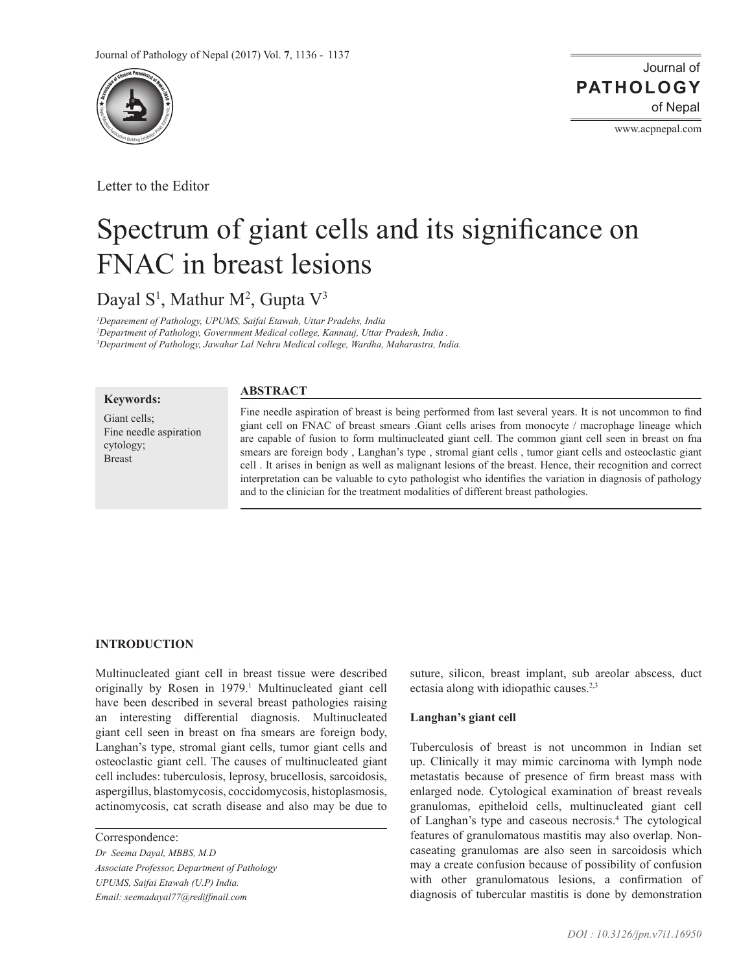

Letter to the Editor

Journal of of Nepal **PATHOLOGY**

www.acpnepal.com

# Spectrum of giant cells and its significance on FNAC in breast lesions

Dayal S<sup>1</sup>, Mathur M<sup>2</sup>, Gupta V<sup>3</sup>

*1 Deparement of Pathology, UPUMS, Saifai Etawah, Uttar Pradehs, India 2 Department of Pathology, Government Medical college, Kannauj, Uttar Pradesh, India . 3 Department of Pathology, Jawahar Lal Nehru Medical college, Wardha, Maharastra, India.*

#### **Keywords:**

Giant cells; Fine needle aspiration cytology; Breast

#### **ABSTRACT**

Fine needle aspiration of breast is being performed from last several years. It is not uncommon to find giant cell on FNAC of breast smears .Giant cells arises from monocyte / macrophage lineage which are capable of fusion to form multinucleated giant cell. The common giant cell seen in breast on fna smears are foreign body , Langhan's type , stromal giant cells , tumor giant cells and osteoclastic giant cell . It arises in benign as well as malignant lesions of the breast. Hence, their recognition and correct interpretation can be valuable to cyto pathologist who identifies the variation in diagnosis of pathology and to the clinician for the treatment modalities of different breast pathologies.

#### **INTRODUCTION**

Multinucleated giant cell in breast tissue were described originally by Rosen in 1979.<sup>1</sup> Multinucleated giant cell have been described in several breast pathologies raising an interesting differential diagnosis. Multinucleated giant cell seen in breast on fna smears are foreign body, Langhan's type, stromal giant cells, tumor giant cells and osteoclastic giant cell. The causes of multinucleated giant cell includes: tuberculosis, leprosy, brucellosis, sarcoidosis, aspergillus, blastomycosis, coccidomycosis, histoplasmosis, actinomycosis, cat scrath disease and also may be due to

*Dr Seema Dayal, MBBS, M.D Associate Professor, Department of Pathology UPUMS, Saifai Etawah (U.P) India. Email: seemadayal77@rediffmail.com*

suture, silicon, breast implant, sub areolar abscess, duct ectasia along with idiopathic causes.<sup>2,3</sup>

#### **Langhan's giant cell**

Tuberculosis of breast is not uncommon in Indian set up. Clinically it may mimic carcinoma with lymph node metastatis because of presence of firm breast mass with enlarged node. Cytological examination of breast reveals granulomas, epitheloid cells, multinucleated giant cell of Langhan's type and caseous necrosis.4 The cytological features of granulomatous mastitis may also overlap. Noncaseating granulomas are also seen in sarcoidosis which may a create confusion because of possibility of confusion with other granulomatous lesions, a confirmation of diagnosis of tubercular mastitis is done by demonstration

Correspondence: